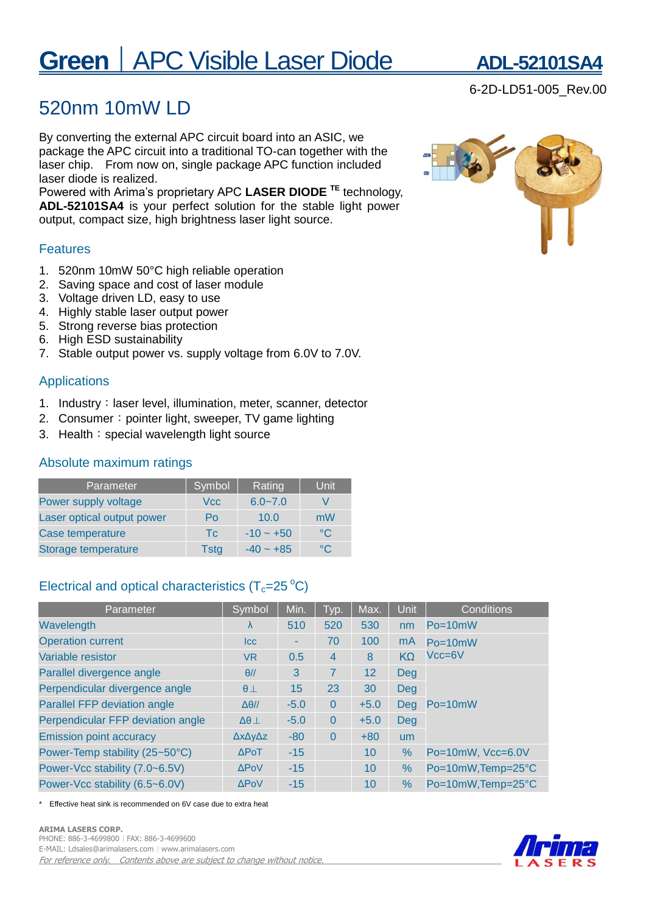# **Green** | APC Visible Laser Diode **ADL-52101SA**

## 520nm 10mW LD

By converting the external APC circuit board into an ASIC, we package the APC circuit into a traditional TO-can together with the laser chip. From now on, single package APC function included laser diode is realized.

Powered with Arima's proprietary APC **LASER DIODE TE** technology, **ADL-52101SA4** is your perfect solution for the stable light power output, compact size, high brightness laser light source.

### Features

- 1. 520nm 10mW 50°C high reliable operation
- 2. Saving space and cost of laser module
- 3. Voltage driven LD, easy to use
- 4. Highly stable laser output power
- 5. Strong reverse bias protection
- 6. High ESD sustainability
- 7. Stable output power vs. supply voltage from 6.0V to 7.0V.

## Applications

- 1. Industry: laser level, illumination, meter, scanner, detector
- 2. Consumer: pointer light, sweeper, TV game lighting
- 3. Health: special wavelength light source

## Absolute maximum ratings

| Parameter                  | Symbol      | Rating      | Unit          |
|----------------------------|-------------|-------------|---------------|
| Power supply voltage       | Vcc         | $6.0 - 7.0$ |               |
| Laser optical output power | Po          | 10.0        | mW            |
| Case temperature           | Tc.         | $-10 - +50$ | $^{\circ}$ C  |
| Storage temperature        | <b>Tstg</b> | $-40 - +85$ | $^{\circ}$ C. |

## Electrical and optical characteristics  $(T_c=25\text{ °C})$

| Parameter                         | Symbol                 | Min.   | Typ.           | Max.   | <b>Unit</b> | Conditions                |  |
|-----------------------------------|------------------------|--------|----------------|--------|-------------|---------------------------|--|
| Wavelength                        | λ                      | 510    | 520            | 530    | nm          | $Po = 10mW$               |  |
| <b>Operation current</b>          | Icc                    |        | 70             | 100    | mA          | $Po = 10mW$<br>$Vcc = 6V$ |  |
| Variable resistor                 | VR.                    | 0.5    | $\overline{4}$ | 8      | $K\Omega$   |                           |  |
| Parallel divergence angle         | $\theta$ //            | 3      | 7              | 12     | Deg         |                           |  |
| Perpendicular divergence angle    | $\theta$ $\perp$       | 15     | 23             | 30     | Deg         | Po=10mW                   |  |
| Parallel FFP deviation angle      | $\Delta\theta$ //      | $-5.0$ | $\Omega$       | $+5.0$ | Deg         |                           |  |
| Perpendicular FFP deviation angle | $\Delta\theta$ $\perp$ | $-5.0$ | $\Omega$       | $+5.0$ | Deg         |                           |  |
| <b>Emission point accuracy</b>    | ΔχΔγΔz                 | $-80$  | $\Omega$       | $+80$  | <b>um</b>   |                           |  |
| Power-Temp stability (25~50°C)    | $\triangle$ PoT        | $-15$  |                | 10     | $\%$        | Po=10mW, Vcc=6.0V         |  |
| Power-Vcc stability (7.0~6.5V)    | <b>APoV</b>            | $-15$  |                | 10     | $\%$        | Po=10mW, Temp=25°C        |  |
| Power-Vcc stability (6.5~6.0V)    | <b>APoV</b>            | $-15$  |                | 10     | $\%$        | Po=10mW, Temp=25°C        |  |

Effective heat sink is recommended on 6V case due to extra heat





6-2D-LD51-005\_Rev.00